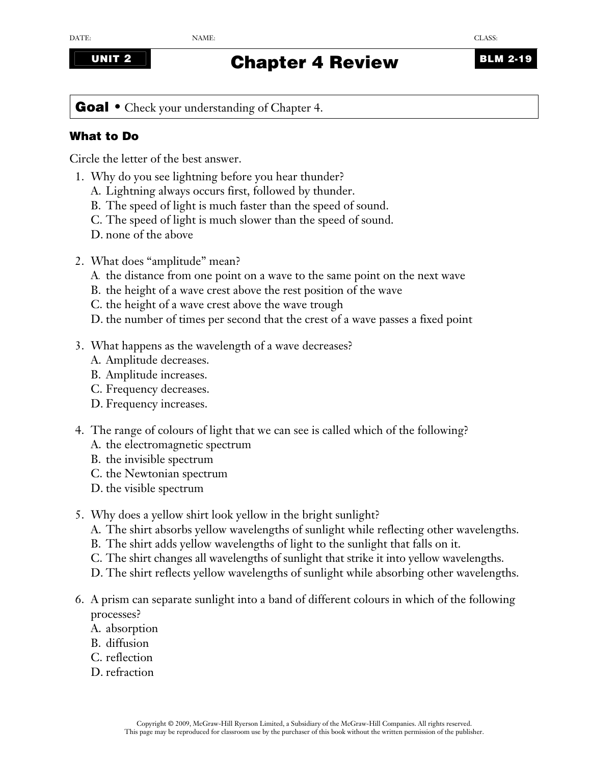## **UNIT 2 Chapter 4 Review BLM 2-19**

**Goal** • Check your understanding of Chapter 4.

## **What to Do**

Circle the letter of the best answer.

- 1. Why do you see lightning before you hear thunder?
	- A. Lightning always occurs first, followed by thunder.
	- B. The speed of light is much faster than the speed of sound.
	- C. The speed of light is much slower than the speed of sound.
	- D. none of the above
- 2. What does "amplitude" mean?
	- A. the distance from one point on a wave to the same point on the next wave
	- B. the height of a wave crest above the rest position of the wave
	- C. the height of a wave crest above the wave trough
	- D. the number of times per second that the crest of a wave passes a fixed point
- 3. What happens as the wavelength of a wave decreases?
	- A. Amplitude decreases.
	- B. Amplitude increases.
	- C. Frequency decreases.
	- D. Frequency increases.
- 4. The range of colours of light that we can see is called which of the following?
	- A. the electromagnetic spectrum
	- B. the invisible spectrum
	- C. the Newtonian spectrum
	- D. the visible spectrum
- 5. Why does a yellow shirt look yellow in the bright sunlight?
	- A. The shirt absorbs yellow wavelengths of sunlight while reflecting other wavelengths.
	- B. The shirt adds yellow wavelengths of light to the sunlight that falls on it.
	- C. The shirt changes all wavelengths of sunlight that strike it into yellow wavelengths.
	- D. The shirt reflects yellow wavelengths of sunlight while absorbing other wavelengths.
- 6. A prism can separate sunlight into a band of different colours in which of the following processes?
	- A. absorption
	- B. diffusion
	- C. reflection
	- D. refraction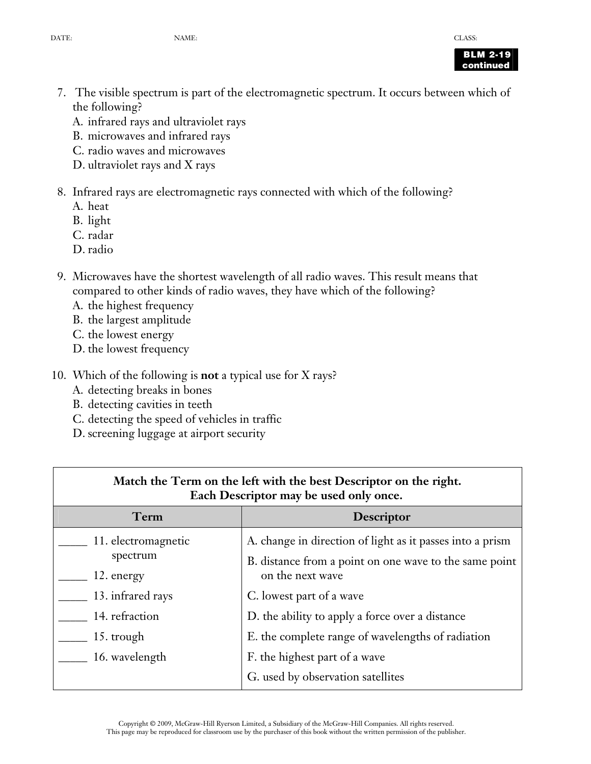DATE: CLASS: CLASS:



- 7. The visible spectrum is part of the electromagnetic spectrum. It occurs between which of the following?
	- A. infrared rays and ultraviolet rays
	- B. microwaves and infrared rays
	- C. radio waves and microwaves
	- D. ultraviolet rays and X rays
- 8. Infrared rays are electromagnetic rays connected with which of the following?
	- A. heat
	- B. light
	- C. radar
	- D. radio
- 9. Microwaves have the shortest wavelength of all radio waves. This result means that compared to other kinds of radio waves, they have which of the following?
	- A. the highest frequency
	- B. the largest amplitude
	- C. the lowest energy
	- D. the lowest frequency
- 10. Which of the following is **not** a typical use for X rays?
	- A. detecting breaks in bones
	- B. detecting cavities in teeth
	- C. detecting the speed of vehicles in traffic
	- D. screening luggage at airport security

| Match the Term on the left with the best Descriptor on the right.<br>Each Descriptor may be used only once. |                                                           |
|-------------------------------------------------------------------------------------------------------------|-----------------------------------------------------------|
| Term                                                                                                        | <b>Descriptor</b>                                         |
| 11. electromagnetic                                                                                         | A. change in direction of light as it passes into a prism |
| spectrum                                                                                                    | B. distance from a point on one wave to the same point    |
| 12. energy                                                                                                  | on the next wave                                          |
| 13. infrared rays                                                                                           | C. lowest part of a wave                                  |
| 14. refraction                                                                                              | D. the ability to apply a force over a distance           |
| 15. trough                                                                                                  | E. the complete range of wavelengths of radiation         |
| 16. wavelength                                                                                              | F. the highest part of a wave                             |
|                                                                                                             | G. used by observation satellites                         |